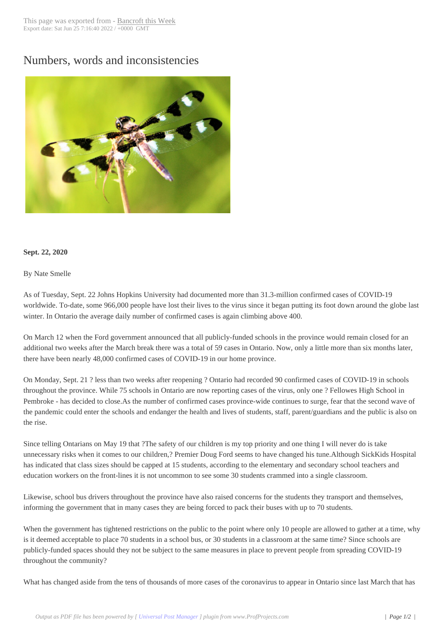## Numbers, words a[nd inconsisten](http://www.bancroftthisweek.com/?p=10957)cies



## **Sept. 22, 2020**

By Nate Smelle

As of Tuesday, Sept. 22 Johns Hopkins University had documented more than 31.3-million confirmed cases of COVID-19 worldwide. To-date, some 966,000 people have lost their lives to the virus since it began putting its foot down around the globe last winter. In Ontario the average daily number of confirmed cases is again climbing above 400.

On March 12 when the Ford government announced that all publicly-funded schools in the province would remain closed for an additional two weeks after the March break there was a total of 59 cases in Ontario. Now, only a little more than six months later, there have been nearly 48,000 confirmed cases of COVID-19 in our home province.

On Monday, Sept. 21 ? less than two weeks after reopening ? Ontario had recorded 90 confirmed cases of COVID-19 in schools throughout the province. While 75 schools in Ontario are now reporting cases of the virus, only one ? Fellowes High School in Pembroke - has decided to close.As the number of confirmed cases province-wide continues to surge, fear that the second wave of the pandemic could enter the schools and endanger the health and lives of students, staff, parent/guardians and the public is also on the rise.

Since telling Ontarians on May 19 that ?The safety of our children is my top priority and one thing I will never do is take unnecessary risks when it comes to our children,? Premier Doug Ford seems to have changed his tune.Although SickKids Hospital has indicated that class sizes should be capped at 15 students, according to the elementary and secondary school teachers and education workers on the front-lines it is not uncommon to see some 30 students crammed into a single classroom.

Likewise, school bus drivers throughout the province have also raised concerns for the students they transport and themselves, informing the government that in many cases they are being forced to pack their buses with up to 70 students.

When the government has tightened restrictions on the public to the point where only 10 people are allowed to gather at a time, why is it deemed acceptable to place 70 students in a school bus, or 30 students in a classroom at the same time? Since schools are publicly-funded spaces should they not be subject to the same measures in place to prevent people from spreading COVID-19 throughout the community?

What has changed aside from the tens of thousands of more cases of the coronavirus to appear in Ontario since last March that has